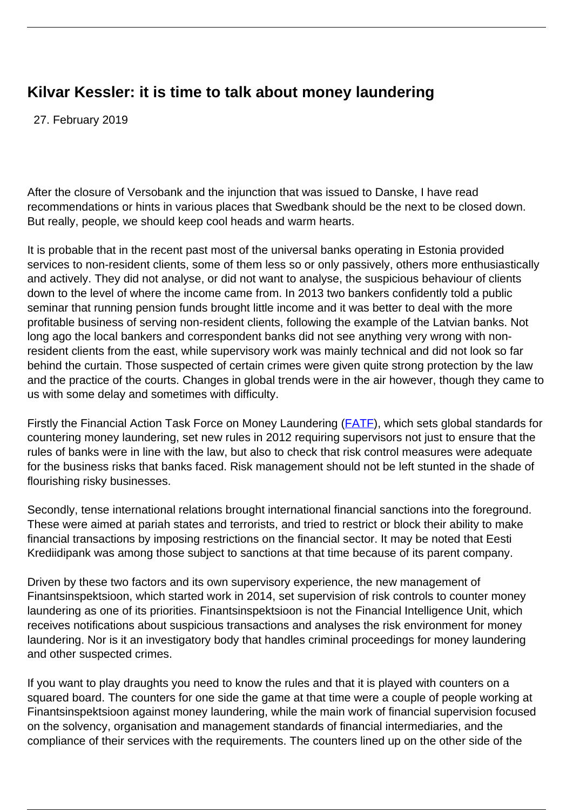## **Kilvar Kessler: it is time to talk about money laundering**

27. February 2019

After the closure of Versobank and the injunction that was issued to Danske, I have read recommendations or hints in various places that Swedbank should be the next to be closed down. But really, people, we should keep cool heads and warm hearts.

It is probable that in the recent past most of the universal banks operating in Estonia provided services to non-resident clients, some of them less so or only passively, others more enthusiastically and actively. They did not analyse, or did not want to analyse, the suspicious behaviour of clients down to the level of where the income came from. In 2013 two bankers confidently told a public seminar that running pension funds brought little income and it was better to deal with the more profitable business of serving non-resident clients, following the example of the Latvian banks. Not long ago the local bankers and correspondent banks did not see anything very wrong with nonresident clients from the east, while supervisory work was mainly technical and did not look so far behind the curtain. Those suspected of certain crimes were given quite strong protection by the law and the practice of the courts. Changes in global trends were in the air however, though they came to us with some delay and sometimes with difficulty.

Firstly the Financial Action Task Force on Money Laundering [\(FATF](http://www.fatf-gafi.org/)), which sets global standards for countering money laundering, set new rules in 2012 requiring supervisors not just to ensure that the rules of banks were in line with the law, but also to check that risk control measures were adequate for the business risks that banks faced. Risk management should not be left stunted in the shade of flourishing risky businesses.

Secondly, tense international relations brought international financial sanctions into the foreground. These were aimed at pariah states and terrorists, and tried to restrict or block their ability to make financial transactions by imposing restrictions on the financial sector. It may be noted that Eesti Krediidipank was among those subject to sanctions at that time because of its parent company.

Driven by these two factors and its own supervisory experience, the new management of Finantsinspektsioon, which started work in 2014, set supervision of risk controls to counter money laundering as one of its priorities. Finantsinspektsioon is not the Financial Intelligence Unit, which receives notifications about suspicious transactions and analyses the risk environment for money laundering. Nor is it an investigatory body that handles criminal proceedings for money laundering and other suspected crimes.

If you want to play draughts you need to know the rules and that it is played with counters on a squared board. The counters for one side the game at that time were a couple of people working at Finantsinspektsioon against money laundering, while the main work of financial supervision focused on the solvency, organisation and management standards of financial intermediaries, and the compliance of their services with the requirements. The counters lined up on the other side of the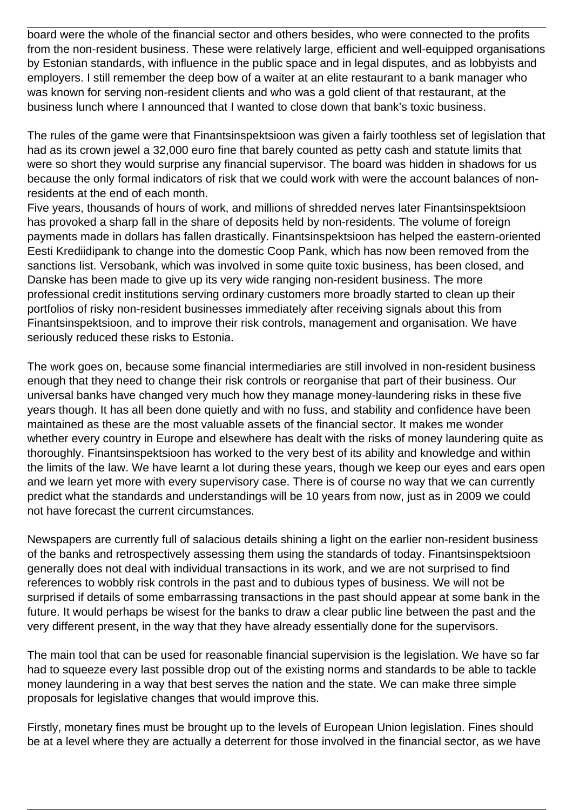board were the whole of the financial sector and others besides, who were connected to the profits from the non-resident business. These were relatively large, efficient and well-equipped organisations by Estonian standards, with influence in the public space and in legal disputes, and as lobbyists and employers. I still remember the deep bow of a waiter at an elite restaurant to a bank manager who was known for serving non-resident clients and who was a gold client of that restaurant, at the business lunch where I announced that I wanted to close down that bank's toxic business.

The rules of the game were that Finantsinspektsioon was given a fairly toothless set of legislation that had as its crown jewel a 32,000 euro fine that barely counted as petty cash and statute limits that were so short they would surprise any financial supervisor. The board was hidden in shadows for us because the only formal indicators of risk that we could work with were the account balances of nonresidents at the end of each month.

Five years, thousands of hours of work, and millions of shredded nerves later Finantsinspektsioon has provoked a sharp fall in the share of deposits held by non-residents. The volume of foreign payments made in dollars has fallen drastically. Finantsinspektsioon has helped the eastern-oriented Eesti Krediidipank to change into the domestic Coop Pank, which has now been removed from the sanctions list. Versobank, which was involved in some quite toxic business, has been closed, and Danske has been made to give up its very wide ranging non-resident business. The more professional credit institutions serving ordinary customers more broadly started to clean up their portfolios of risky non-resident businesses immediately after receiving signals about this from Finantsinspektsioon, and to improve their risk controls, management and organisation. We have seriously reduced these risks to Estonia.

The work goes on, because some financial intermediaries are still involved in non-resident business enough that they need to change their risk controls or reorganise that part of their business. Our universal banks have changed very much how they manage money-laundering risks in these five years though. It has all been done quietly and with no fuss, and stability and confidence have been maintained as these are the most valuable assets of the financial sector. It makes me wonder whether every country in Europe and elsewhere has dealt with the risks of money laundering quite as thoroughly. Finantsinspektsioon has worked to the very best of its ability and knowledge and within the limits of the law. We have learnt a lot during these years, though we keep our eyes and ears open and we learn yet more with every supervisory case. There is of course no way that we can currently predict what the standards and understandings will be 10 years from now, just as in 2009 we could not have forecast the current circumstances.

Newspapers are currently full of salacious details shining a light on the earlier non-resident business of the banks and retrospectively assessing them using the standards of today. Finantsinspektsioon generally does not deal with individual transactions in its work, and we are not surprised to find references to wobbly risk controls in the past and to dubious types of business. We will not be surprised if details of some embarrassing transactions in the past should appear at some bank in the future. It would perhaps be wisest for the banks to draw a clear public line between the past and the very different present, in the way that they have already essentially done for the supervisors.

The main tool that can be used for reasonable financial supervision is the legislation. We have so far had to squeeze every last possible drop out of the existing norms and standards to be able to tackle money laundering in a way that best serves the nation and the state. We can make three simple proposals for legislative changes that would improve this.

Firstly, monetary fines must be brought up to the levels of European Union legislation. Fines should be at a level where they are actually a deterrent for those involved in the financial sector, as we have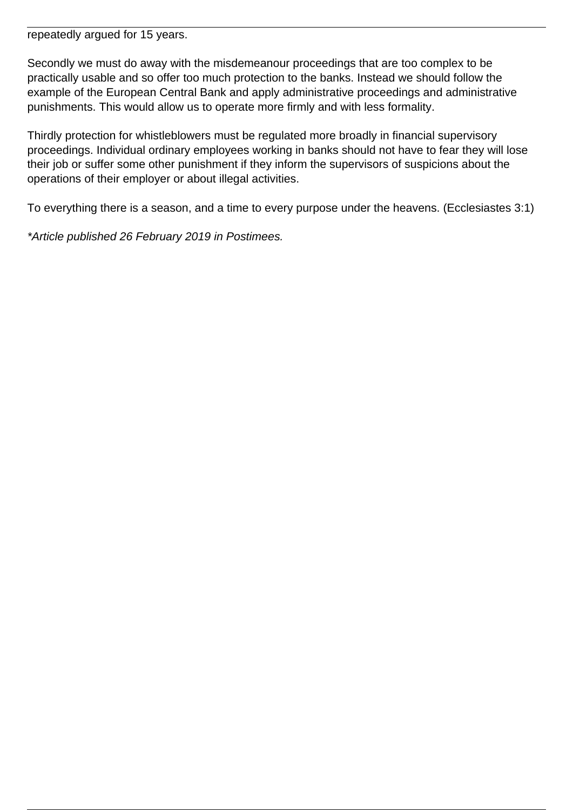repeatedly argued for 15 years.

Secondly we must do away with the misdemeanour proceedings that are too complex to be practically usable and so offer too much protection to the banks. Instead we should follow the example of the European Central Bank and apply administrative proceedings and administrative punishments. This would allow us to operate more firmly and with less formality.

Thirdly protection for whistleblowers must be regulated more broadly in financial supervisory proceedings. Individual ordinary employees working in banks should not have to fear they will lose their job or suffer some other punishment if they inform the supervisors of suspicions about the operations of their employer or about illegal activities.

To everything there is a season, and a time to every purpose under the heavens. (Ecclesiastes 3:1)

\*Article published 26 February 2019 in Postimees.